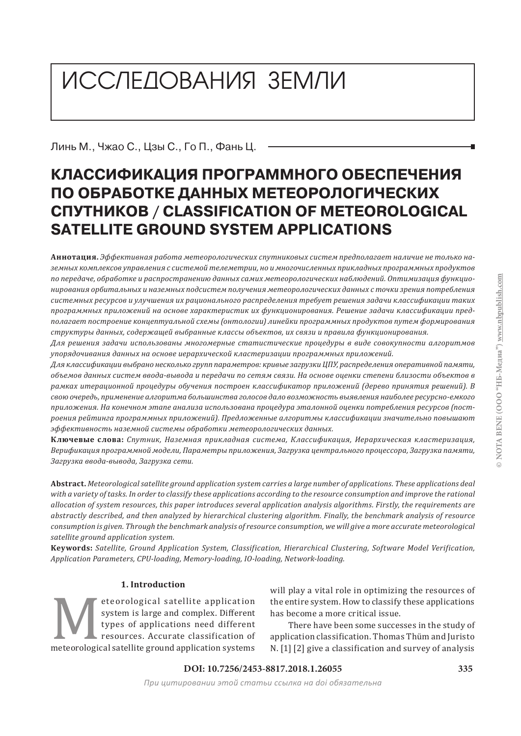# ИССЛЕДОВАНИЯ ЗЕМЛИ

Линь М., Чжао С., Цзы С., Го П., Фань Ц.

# **КЛАССИФИКАЦИЯ ПРОГРАММНОГО ОБЕСПЕЧЕНИЯ ПО ОБРАБОТКЕ ДАННЫХ МЕТЕОРОЛОГИЧЕСКИХ СПУТНИКОВ / CLASSIFICATION OF METEOROLOGICAL SATELLITE GROUND SYSTEM APPLICATIONS**

**Аннотация.** *Эффективная работа метеорологических спутниковых систем предполагает наличие не только наземных комплексов управления с системой телеметрии, но и многочисленных прикладных программных продуктов по передаче, обработке и распространению данных самих метеорологических наблюдений. Оптимизация функционирования орбитальных и наземных подсистем получения метеорологических данных с точки зрения потребления системных ресурсов и улучшения их рационального распределения требует решения задачи классификации таких программных приложений на основе характеристик их функционирования. Решение задачи классификации предполагает построение концептуальной схемы (онтологии) линейки программных продуктов путем формирования структуры данных, содержащей выбранные классы объектов, их связи и правила функционирования.*

*Для решения задачи использованы многомерные статистические процедуры в виде совокупности алгоритмов упорядочивания данных на основе иерархической кластеризации программных приложений.*

*Для классификации выбрано несколько групп параметров: кривые загрузки ЦПУ, распределения оперативной памяти,*  объемов данных систем ввода-вывода и передачи по сетям связи. На основе оценки степени близости объектов в *рамках итерационной процедуры обучения построен классификатор приложений (дерево принятия решений). В свою очередь, применение алгоритма большинства голосов дало возможность выявления наиболее ресурсно-емкого приложения. На конечном этапе анализа использована процедура эталонной оценки потребления ресурсов (построения рейтинга программных приложений). Предложенные алгоритмы классификации значительно повышают эффективность наземной системы обработки метеорологических данных.*

**Ключевые слова:** *Спутник, Наземная прикладная система, Классификация, Иерархическая кластеризация, Верификация программной модели, Параметры приложения, Загрузка центрального процессора, Загрузка памяти, Загрузка ввода-вывода, Загрузка сети.*

**Abstract.** *Meteorological satellite ground application system carries a large number of applications. These applications deal with a variety of tasks. In order to classify these applications according to the resource consumption and improve the rational allocation of system resources, this paper introduces several application analysis algorithms. Firstly, the requirements are abstractly described, and then analyzed by hierarchical clustering algorithm. Finally, the benchmark analysis of resource consumption is given. Through the benchmark analysis of resource consumption, we will give a more accurate meteorological satellite ground application system.*

**Keywords:** *Satellite, Ground Application System, Classification, Hierarchical Clustering, Software Model Verification, Application Parameters, CPU-loading, Memory-loading, IO-loading, Network-loading.*

# **1. Introduction**

Meteorological satellite application<br>system is large and complex. Different<br>types of applications need different<br>resources. Accurate classification of<br>meteorological satellite ground application systems system is large and complex. Different types of applications need different resources. Accurate classification of will play a vital role in optimizing the resources of the entire system. How to classify these applications has become a more critical issue.

There have been some successes in the study of application classification. Thomas Thüm and Juristo N. [1] [2] give a classification and survey of analysis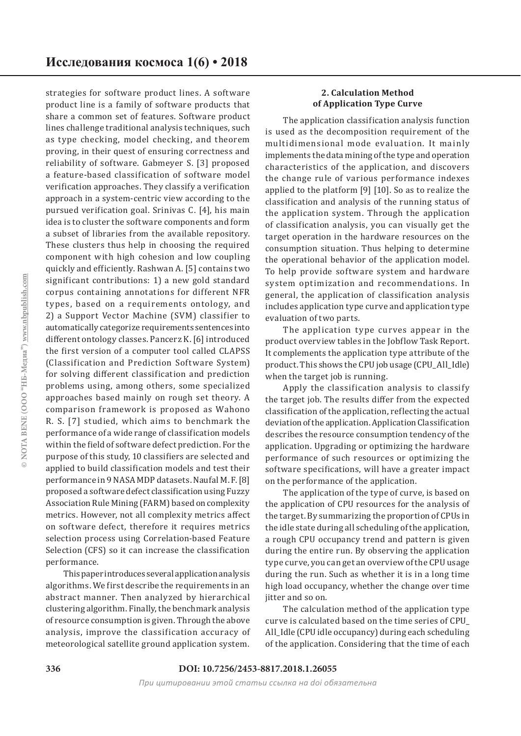strategies for software product lines. A software product line is a family of software products that share a common set of features. Software product lines challenge traditional analysis techniques, such as type checking, model checking, and theorem proving, in their quest of ensuring correctness and reliability of software. Gabmeyer S. [3] proposed a feature-based classification of software model verification approaches. They classify a verification approach in a system-centric view according to the pursued verification goal. Srinivas C. [4], his main idea is to cluster the software components and form a subset of libraries from the available repository. These clusters thus help in choosing the required component with high cohesion and low coupling quickly and efficiently. Rashwan A. [5] contains two significant contributions: 1) a new gold standard corpus containing annotations for different NFR types, based on a requirements ontology, and 2) a Support Vector Machine (SVM) classifier to automatically categorize requirements sentences into different ontology classes. Pancerz K. [6] introduced the first version of a computer tool called CLAPSS (Classification and Prediction Software System) for solving different classification and prediction problems using, among others, some specialized approaches based mainly on rough set theory. A comparison framework is proposed as Wahono R. S. [7] studied, which aims to benchmark the performance of a wide range of classification models within the field of software defect prediction. For the purpose of this study, 10 classifiers are selected and applied to build classification models and test their performance in 9 NASA MDP datasets. Naufal M. F. [8] proposed a software defect classification using Fuzzy Association Rule Mining (FARM) based on complexity metrics. However, not all complexity metrics affect on software defect, therefore it requires metrics selection process using Correlation-based Feature Selection (CFS) so it can increase the classification performance.

This paper introduces several application analysis algorithms. We first describe the requirements in an abstract manner. Then analyzed by hierarchical clustering algorithm. Finally, the benchmark analysis of resource consumption is given. Through the above analysis, improve the classification accuracy of meteorological satellite ground application system.

#### **2. Calculation Method of Application Type Curve**

The application classification analysis function is used as the decomposition requirement of the multidimensional mode evaluation. It mainly implements the data mining of the type and operation characteristics of the application, and discovers the change rule of various performance indexes applied to the platform [9] [10]. So as to realize the classification and analysis of the running status of the application system. Through the application of classification analysis, you can visually get the target operation in the hardware resources on the consumption situation. Thus helping to determine the operational behavior of the application model. To help provide software system and hardware system optimization and recommendations. In general, the application of classification analysis includes application type curve and application type evaluation of two parts.

The application type curves appear in the product overview tables in the Jobflow Task Report. It complements the application type attribute of the product. This shows the CPU job usage (CPU\_All\_Idle) when the target job is running.

Apply the classification analysis to classify the target job. The results differ from the expected classification of the application, reflecting the actual deviation of the application. Application Classification describes the resource consumption tendency of the application. Upgrading or optimizing the hardware performance of such resources or optimizing the software specifications, will have a greater impact on the performance of the application.

The application of the type of curve, is based on the application of CPU resources for the analysis of the target. By summarizing the proportion of CPUs in the idle state during all scheduling of the application, a rough CPU occupancy trend and pattern is given during the entire run. By observing the application type curve, you can get an overview of the CPU usage during the run. Such as whether it is in a long time high load occupancy, whether the change over time jitter and so on.

The calculation method of the application type curve is calculated based on the time series of CPU\_ All\_Idle (CPU idle occupancy) during each scheduling of the application. Considering that the time of each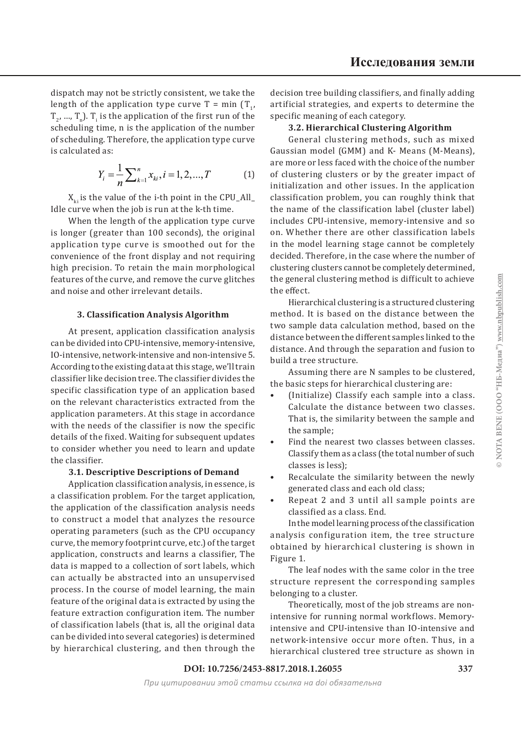dispatch may not be strictly consistent, we take the length of the application type curve  $T = min(T_1, T_2)$  $T_2$ , ...,  $T_n$ ).  $T_i$  is the application of the first run of the scheduling time, n is the application of the number of scheduling. Therefore, the application type curve is calculated as:

$$
Y_i = \frac{1}{n} \sum_{k=1}^{n} x_{ki}, i = 1, 2, ..., T
$$
 (1)

 $X_{k,i}$  is the value of the i-th point in the CPU\_All\_ Idle curve when the job is run at the k-th time.

When the length of the application type curve is longer (greater than 100 seconds), the original application type curve is smoothed out for the convenience of the front display and not requiring high precision. To retain the main morphological features of the curve, and remove the curve glitches and noise and other irrelevant details.

#### **3. Classification Analysis Algorithm**

At present, application classification analysis can be divided into CPU-intensive, memory-intensive, IO-intensive, network-intensive and non-intensive 5. According to the existing data at this stage, we'll train classifier like decision tree. The classifier divides the specific classification type of an application based on the relevant characteristics extracted from the application parameters. At this stage in accordance with the needs of the classifier is now the specific details of the fixed. Waiting for subsequent updates to consider whether you need to learn and update the classifier.

#### **3.1. Descriptive Descriptions of Demand**

Application classification analysis, in essence, is a classification problem. For the target application, the application of the classification analysis needs to construct a model that analyzes the resource operating parameters (such as the CPU occupancy curve, the memory footprint curve, etc.) of the target application, constructs and learns a classifier, The data is mapped to a collection of sort labels, which can actually be abstracted into an unsupervised process. In the course of model learning, the main feature of the original data is extracted by using the feature extraction configuration item. The number of classification labels (that is, all the original data can be divided into several categories) is determined by hierarchical clustering, and then through the

decision tree building classifiers, and finally adding artificial strategies, and experts to determine the specific meaning of each category.

#### **3.2. Hierarchical Clustering Algorithm**

General clustering methods, such as mixed Gaussian model (GMM) and K- Means (M-Means), are more or less faced with the choice of the number of clustering clusters or by the greater impact of initialization and other issues. In the application classification problem, you can roughly think that the name of the classification label (cluster label) includes CPU-intensive, memory-intensive and so on. Whether there are other classification labels in the model learning stage cannot be completely decided. Therefore, in the case where the number of clustering clusters cannot be completely determined, the general clustering method is difficult to achieve the effect.

Hierarchical clustering is a structured clustering method. It is based on the distance between the two sample data calculation method, based on the distance between the different samples linked to the distance. And through the separation and fusion to build a tree structure.

Assuming there are N samples to be clustered, the basic steps for hierarchical clustering are:

- (Initialize) Classify each sample into a class. Calculate the distance between two classes. That is, the similarity between the sample and the sample; •
- Find the nearest two classes between classes. Classify them as a class (the total number of such classes is less); •
- Recalculate the similarity between the newly generated class and each old class; •
- Repeat 2 and 3 until all sample points are classified as a class. End. •

In the model learning process of the classification analysis configuration item, the tree structure obtained by hierarchical clustering is shown in Figure 1.

The leaf nodes with the same color in the tree structure represent the corresponding samples belonging to a cluster.

Theoretically, most of the job streams are nonintensive for running normal workflows. Memoryintensive and CPU-intensive than IO-intensive and network-intensive occur more often. Thus, in a hierarchical clustered tree structure as shown in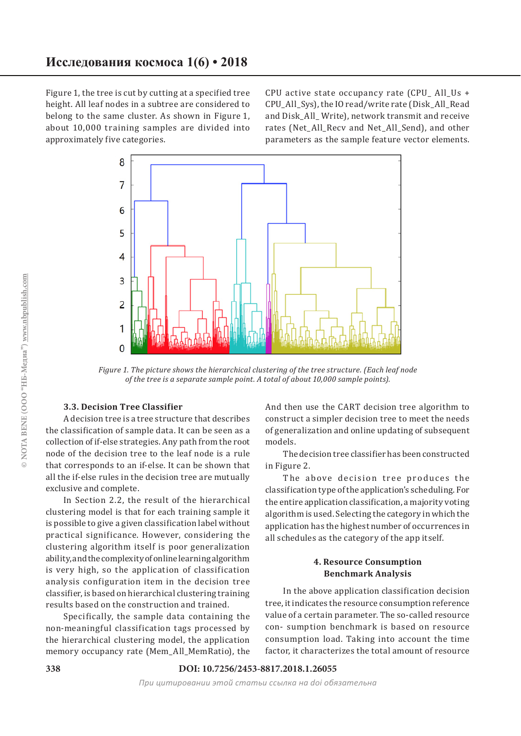Figure 1, the tree is cut by cutting at a specified tree height. All leaf nodes in a subtree are considered to belong to the same cluster. As shown in Figure 1, about 10,000 training samples are divided into approximately five categories.

CPU active state occupancy rate  $(CPU$  All Us + CPU\_All\_Sys), the IO read/write rate (Disk\_All\_Read and Disk\_All\_ Write), network transmit and receive rates (Net\_All\_Recv and Net\_All\_Send), and other parameters as the sample feature vector elements.



*Figure 1. The picture shows the hierarchical clustering of the tree structure. (Each leaf node of the tree is a separate sample point. A total of about 10,000 sample points).*

### **3.3. Decision Tree Classifier**

A decision tree is a tree structure that describes the classification of sample data. It can be seen as a collection of if-else strategies. Any path from the root node of the decision tree to the leaf node is a rule that corresponds to an if-else. It can be shown that all the if-else rules in the decision tree are mutually exclusive and complete.

In Section 2.2, the result of the hierarchical clustering model is that for each training sample it is possible to give a given classification label without practical significance. However, considering the clustering algorithm itself is poor generalization ability, and the complexity of online learning algorithm is very high, so the application of classification analysis configuration item in the decision tree classifier, is based on hierarchical clustering training results based on the construction and trained.

Specifically, the sample data containing the non-meaningful classification tags processed by the hierarchical clustering model, the application memory occupancy rate (Mem\_All\_MemRatio), the

And then use the CART decision tree algorithm to construct a simpler decision tree to meet the needs of generalization and online updating of subsequent models.

The decision tree classifier has been constructed in Figure 2.

The above decision tree produces the classification type of the application's scheduling. For the entire application classification, a majority voting algorithm is used. Selecting the category in which the application has the highest number of occurrences in all schedules as the category of the app itself.

#### **4. Resource Consumption Benchmark Analysis**

In the above application classification decision tree, it indicates the resource consumption reference value of a certain parameter. The so-called resource con- sumption benchmark is based on resource consumption load. Taking into account the time factor, it characterizes the total amount of resource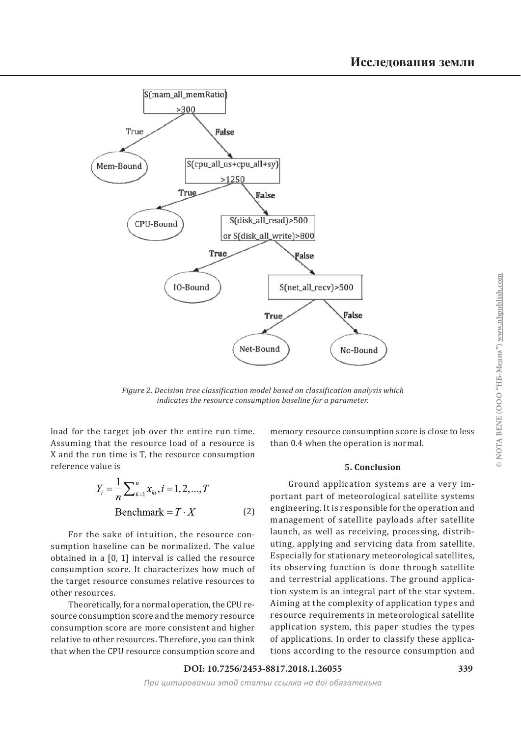

*Figure 2. Decision tree classification model based on classification analysis which indicates the resource consumption baseline for a parameter.*

load for the target job over the entire run time. Assuming that the resource load of a resource is X and the run time is T, the resource consumption reference value is

$$
Y_i = \frac{1}{n} \sum_{k=1}^{n} x_{ki}, i = 1, 2, ..., T
$$
  
Benchmark = T · X (2)

For the sake of intuition, the resource consumption baseline can be normalized. The value obtained in a [0, 1] interval is called the resource consumption score. It characterizes how much of the target resource consumes relative resources to other resources.

Theoretically, for a normal operation, the CPU resource consumption score and the memory resource consumption score are more consistent and higher relative to other resources. Therefore, you can think that when the CPU resource consumption score and memory resource consumption score is close to less than 0.4 when the operation is normal.

#### **5. Conclusion**

Ground application systems are a very important part of meteorological satellite systems engineering. It is responsible for the operation and management of satellite payloads after satellite launch, as well as receiving, processing, distributing, applying and servicing data from satellite. Especially for stationary meteorological satellites, its observing function is done through satellite and terrestrial applications. The ground application system is an integral part of the star system. Aiming at the complexity of application types and resource requirements in meteorological satellite application system, this paper studies the types of applications. In order to classify these applications according to the resource consumption and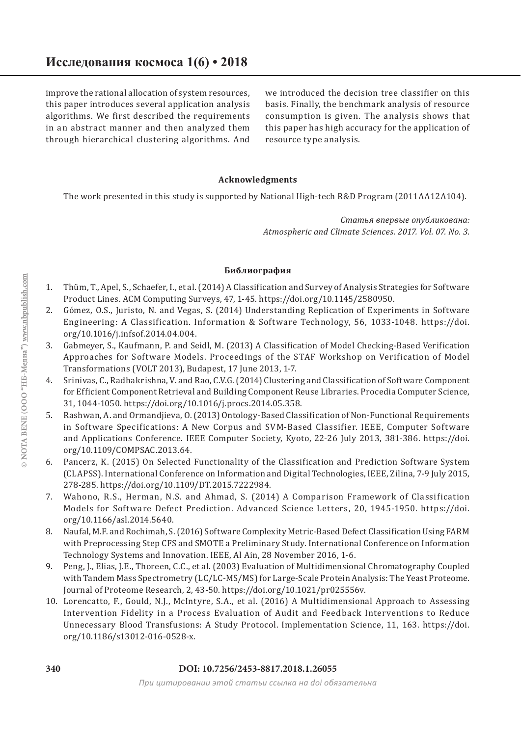improve the rational allocation of system resources, this paper introduces several application analysis algorithms. We first described the requirements in an abstract manner and then analyzed them through hierarchical clustering algorithms. And

we introduced the decision tree classifier on this basis. Finally, the benchmark analysis of resource consumption is given. The analysis shows that this paper has high accuracy for the application of resource type analysis.

## **Acknowledgments**

The work presented in this study is supported by National High-tech R&D Program (2011AA12A104).

*Статья впервые опубликована: Atmospheric and Climate Sciences. 2017. Vol. 07. No. 3.*

#### **Библиография**

- Thüm, T., Apel, S., Schaefer, I., et al. (2014) A Classification and Survey of Analysis Strategies for Software Product Lines. ACM Computing Surveys, 47, 1-45. https://doi.org/10.1145/2580950. 1.
- Gómez, O.S., Juristo, N. and Vegas, S. (2014) Understanding Replication of Experiments in Software Engineering: A Classification. Information & Software Technology, 56, 1033-1048. https://doi. org/10.1016/j.infsof.2014.04.004. 2.
- Gabmeyer, S., Kaufmann, P. and Seidl, M. (2013) A Classification of Model Checking-Based Verification Approaches for Software Models. Proceedings of the STAF Workshop on Verification of Model Transformations (VOLT 2013), Budapest, 17 June 2013, 1-7. 3.
- Srinivas, C., Radhakrishna, V. and Rao, C.V.G. (2014) Clustering and Classification of Software Component for Efficient Component Retrieval and Building Component Reuse Libraries. Procedia Computer Science, 31, 1044-1050. https://doi.org/10.1016/j.procs.2014.05.358. 4.
- Rashwan, A. and Ormandjieva, O. (2013) Ontology-Based Classification of Non-Functional Requirements in Software Specifications: A New Corpus and SVM-Based Classifier. IEEE, Computer Software and Applications Conference. IEEE Computer Society, Kyoto, 22-26 July 2013, 381-386. https://doi. org/10.1109/COMPSAC.2013.64. 5.
- Pancerz, K. (2015) On Selected Functionality of the Classification and Prediction Software System (CLAPSS). International Conference on Information and Digital Technologies, IEEE, Zilina, 7-9 July 2015, 278-285. https://doi.org/10.1109/DT.2015.7222984. 6.
- Wahono, R.S., Herman, N.S. and Ahmad, S. (2014) A Comparison Framework of Classification 7. Models for Software Defect Prediction. Advanced Science Letters, 20, 1945-1950. https://doi. org/10.1166/asl.2014.5640.
- Naufal, M.F. and Rochimah, S. (2016) Software Complexity Metric-Based Defect Classification Using FARM with Preprocessing Step CFS and SMOTE a Preliminary Study. International Conference on Information Technology Systems and Innovation. IEEE, Al Ain, 28 November 2016, 1-6. 8.
- 9. Peng, J., Elias, J.E., Thoreen, C.C., et al. (2003) Evaluation of Multidimensional Chromatography Coupled with Tandem Mass Spectrometry (LC/LC-MS/MS) for Large-Scale Protein Analysis: The Yeast Proteome. Journal of Proteome Research, 2, 43-50. https://doi.org/10.1021/pr025556v.
- 10. Lorencatto, F., Gould, N.J., McIntyre, S.A., et al. (2016) A Multidimensional Approach to Assessing Intervention Fidelity in a Process Evaluation of Audit and Feedback Interventions to Reduce Unnecessary Blood Transfusions: A Study Protocol. Implementation Science, 11, 163. https://doi. org/10.1186/s13012-016-0528-x.